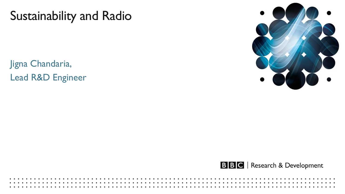# Sustainability and Radio

Jigna Chandaria, Lead R&D Engineer



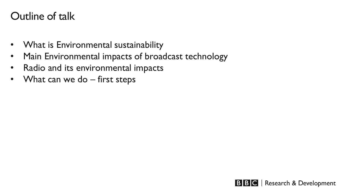## Outline of talk

- What is Environmental sustainability
- Main Environmental impacts of broadcast technology
- Radio and its environmental impacts
- What can we do first steps

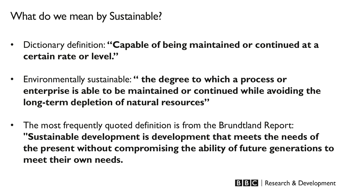# What do we mean by Sustainable?

- Dictionary definition: **"Capable of being maintained or continued at a certain rate or level."**
- Environmentally sustainable: **" the degree to which a process or enterprise is able to be maintained or continued while avoiding the long-term depletion of natural resources"**
- The most frequently quoted definition is from the Brundtland Report: **"Sustainable development is development that meets the needs of the present without compromising the ability of future generations to meet their own needs.**

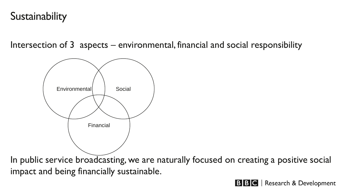# **Sustainability**

Intersection of 3 aspects – environmental, financial and social responsibility



In public service broadcasting, we are naturally focused on creating a positive social impact and being financially sustainable.

**BBC** Research & Development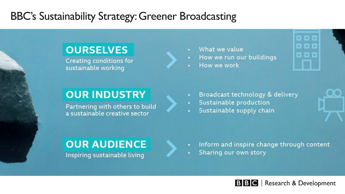### BBC's Sustainability Strategy: Greener Broadcasting

#### **OURSELVES**

Creating conditions for sustainable working

#### **OUR INDUSTRY**

Partnering with others to build a sustainable creative sector

What we value

- How we run our buildings
- How we work



- Broadcast technology & delivery
- Sustainable production
- Sustainable supply chain

### **OUR AUDIENCE**

Inspiring sustainable living

- Inform and inspire change through content
- Sharing our own story

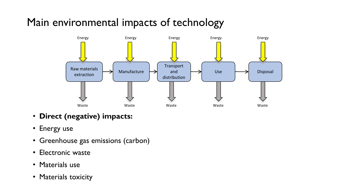# Main environmental impacts of technology



- **Direct (negative) impacts:**
- Energy use
- Greenhouse gas emissions (carbon)
- Electronic waste
- Materials use
- Materials toxicity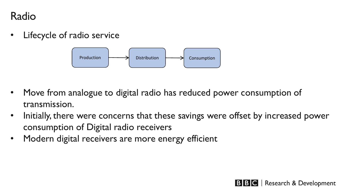#### Radio

• Lifecycle of radio service



- Move from analogue to digital radio has reduced power consumption of transmission.
- Initially, there were concerns that these savings were offset by increased power consumption of Digital radio receivers
- Modern digital receivers are more energy efficient

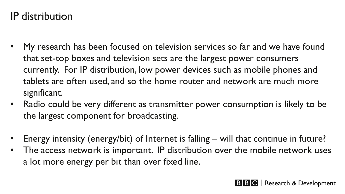# IP distribution

- My research has been focused on television services so far and we have found that set-top boxes and television sets are the largest power consumers currently. For IP distribution, low power devices such as mobile phones and tablets are often used, and so the home router and network are much more significant.
- Radio could be very different as transmitter power consumption is likely to be the largest component for broadcasting.
- Energy intensity (energy/bit) of Internet is falling will that continue in future?
- The access network is important. IP distribution over the mobile network uses a lot more energy per bit than over fixed line.

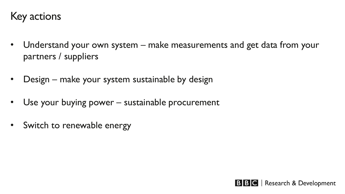### Key actions

- Understand your own system make measurements and get data from your partners / suppliers
- Design make your system sustainable by design
- Use your buying power sustainable procurement
- Switch to renewable energy

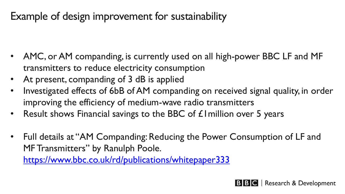# Example of design improvement for sustainability

- AMC, or AM companding, is currently used on all high-power BBC LF and MF transmitters to reduce electricity consumption
- At present, companding of 3 dB is applied
- Investigated effects of 6bB of AM companding on received signal quality, in order improving the efficiency of medium-wave radio transmitters
- Result shows Financial savings to the BBC of £1 million over 5 years
- Full details at "AM Companding: Reducing the Power Consumption of LF and MF Transmitters" by Ranulph Poole.

<https://www.bbc.co.uk/rd/publications/whitepaper333>